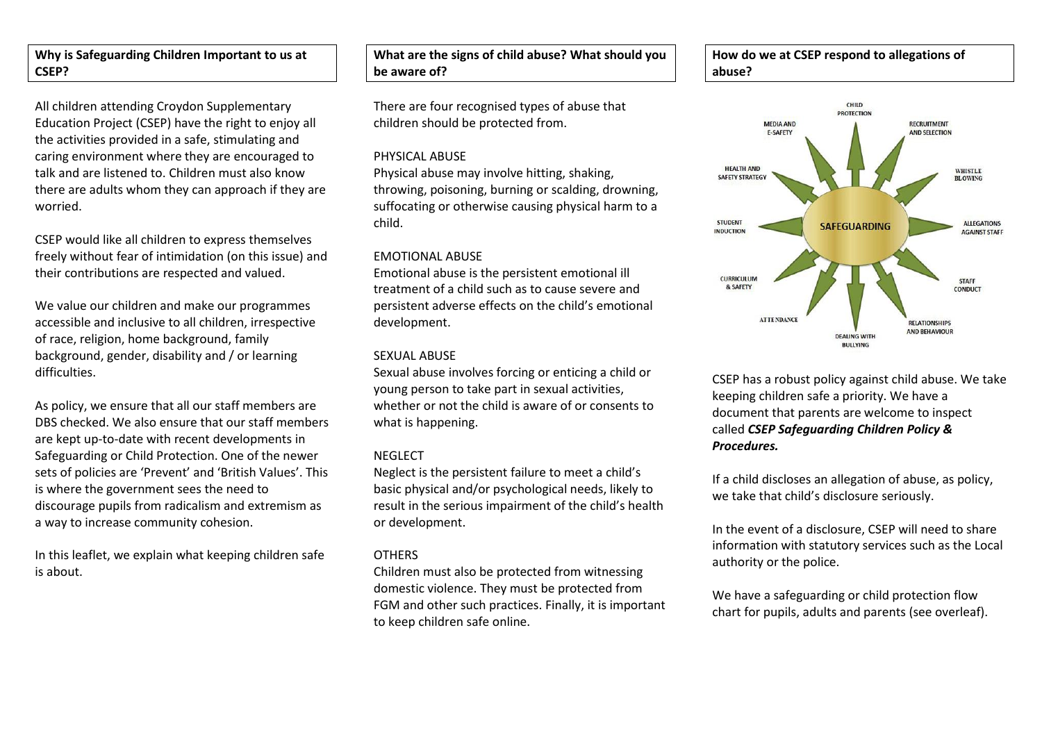## **Why is Safeguarding Children Important to us at CSEP?**

All children attending Croydon Supplementary Education Project (CSEP) have the right to enjoy all the activities provided in a safe, stimulating and caring environment where they are encouraged to talk and are listened to. Children must also know there are adults whom they can approach if they are worried.

CSEP would like all children to express themselves freely without fear of intimidation (on this issue) and their contributions are respected and valued.

We value our children and make our programmes accessible and inclusive to all children, irrespective of race, religion, home background, family background, gender, disability and / or learning difficulties.

As policy, we ensure that all our staff members are DBS checked. We also ensure that our staff members are kept up-to-date with recent developments in Safeguarding or Child Protection. One of the newer sets of policies are 'Prevent' and 'British Values'. This is where the government sees the need to discourage pupils from radicalism and extremism as a way to increase community cohesion.

In this leaflet, we explain what keeping children safe is about.

## **What are the signs of child abuse? What should you be aware of?**

There are four recognised types of abuse that children should be protected from.

#### PHYSICAL ABUSE

Physical abuse may involve hitting, shaking, throwing, poisoning, burning or scalding, drowning, suffocating or otherwise causing physical harm to a child.

#### EMOTIONAL ABUSE

Emotional abuse is the persistent emotional ill treatment of a child such as to cause severe and persistent adverse effects on the child's emotional development.

#### SEXUAL ARUSE

Sexual abuse involves forcing or enticing a child or young person to take part in sexual activities, whether or not the child is aware of or consents to what is happening.

### NEGLECT

Neglect is the persistent failure to meet a child's basic physical and/or psychological needs, likely to result in the serious impairment of the child's health or development.

### **OTHERS**

Children must also be protected from witnessing domestic violence. They must be protected from FGM and other such practices. Finally, it is important to keep children safe online.





CSEP has a robust policy against child abuse. We take keeping children safe a priority. We have a document that parents are welcome to inspect called *CSEP Safeguarding Children Policy & Procedures.*

If a child discloses an allegation of abuse, as policy, we take that child's disclosure seriously.

In the event of a disclosure, CSEP will need to share information with statutory services such as the Local authority or the police.

We have a safeguarding or child protection flow chart for pupils, adults and parents (see overleaf).